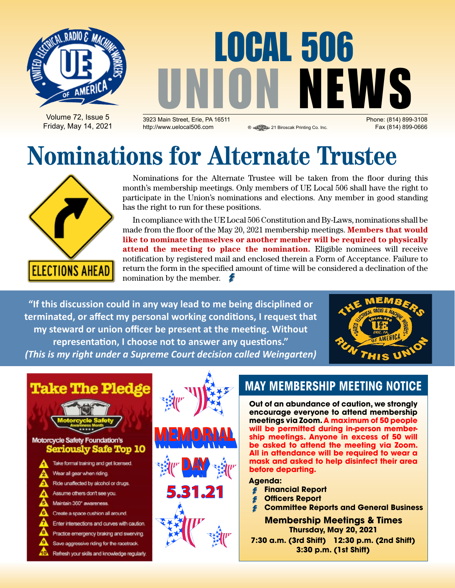

# LOCAL 506 Phone: (814) 899-3108

Volume 72, Issue 5 Friday, May 14, 2021

3923 Main Street, Erie, PA 16511 http://www.uelocal506.com 
<br> **a** @ 21 Biroscak Printing Co. Inc. Fax (814) 899-0666

### **Nominations for Alternate Trustee**



Nominations for the Alternate Trustee will be taken from the floor during this month's membership meetings. Only members of UE Local 506 shall have the right to participate in the Union's nominations and elections. Any member in good standing has the right to run for these positions.

In compliance with the UE Local 506 Constitution and By-Laws, nominations shall be made from the floor of the May 20, 2021 membership meetings. **Members that would like to nominate themselves or another member will be required to physically attend the meeting to place the nomination.** Eligible nominees will receive notification by registered mail and enclosed therein a Form of Acceptance. Failure to return the form in the specified amount of time will be considered a declination of the nomination by the member.  $\mathscr{L}$ 

**"If this discussion could in any way lead to me being disciplined or terminated, or affect my personal working conditions, I request that my steward or union officer be present at the meeting. Without representation, I choose not to answer any questions."** *(This is my right under a Supreme Court decision called Weingarten)*



#### **MAY Membership Meeting Notice Take The Pledge Out of an abundance of caution, we strongly encourage everyone to attend membership meetings via Zoom. A maximum of 50 people will be permitted during in-person membership meetings. Anyone in excess of 50 will**  Motorcycle Safety Foundation's **be asked to attend the meeting via Zoom. Seriously Safe Top 10 All in attendance will be required to wear a mask and asked to help disinfect their area**  Take formal training and get licensed. **before departing.** Wear all gear when riding. **Agenda:**  Ride unaffected by alcohol or drugs. **Financial Report 5.31.21**Assume others don't see you. **Officers Report** Maintain 360° awareness. **Committee Reports and General Business** Create a space cushion all around. **Membership Meetings & Times** Enter intersections and curves with caution. **Thursday, May 20, 2021** Practice emergency braking and swerving. **7:30 a.m. (3rd Shift) 12:30 p.m. (2nd Shift)** Save aggressive riding for the racetrack. **3:30 p.m. (1st Shift)** Refresh your skills and knowledge regularly.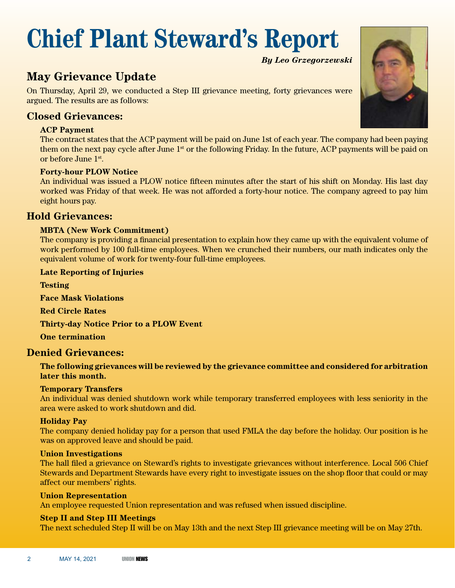### **Chief Plant Steward's Report**

### *By Leo Grzegorzewski*

### **May Grievance Update**

On Thursday, April 29, we conducted a Step III grievance meeting, forty grievances were argued. The results are as follows:

### **Closed Grievances:**

### **ACP Payment**

The contract states that the ACP payment will be paid on June 1st of each year. The company had been paying them on the next pay cycle after June 1<sup>st</sup> or the following Friday. In the future, ACP payments will be paid on or before June 1st.

### **Forty-hour PLOW Notice**

An individual was issued a PLOW notice fifteen minutes after the start of his shift on Monday. His last day worked was Friday of that week. He was not afforded a forty-hour notice. The company agreed to pay him eight hours pay.

### **Hold Grievances:**

### **MBTA (New Work Commitment)**

The company is providing a financial presentation to explain how they came up with the equivalent volume of work performed by 100 full-time employees. When we crunched their numbers, our math indicates only the equivalent volume of work for twenty-four full-time employees.

### **Late Reporting of Injuries**

**Testing**

**Face Mask Violations**

**Red Circle Rates**

**Thirty-day Notice Prior to a PLOW Event**

**One termination**

### **Denied Grievances:**

**The following grievances will be reviewed by the grievance committee and considered for arbitration later this month.** 

### **Temporary Transfers**

An individual was denied shutdown work while temporary transferred employees with less seniority in the area were asked to work shutdown and did.

### **Holiday Pay**

The company denied holiday pay for a person that used FMLA the day before the holiday. Our position is he was on approved leave and should be paid.

### **Union Investigations**

The hall filed a grievance on Steward's rights to investigate grievances without interference. Local 506 Chief Stewards and Department Stewards have every right to investigate issues on the shop floor that could or may affect our members' rights.

### **Union Representation**

An employee requested Union representation and was refused when issued discipline.

### **Step II and Step III Meetings**

The next scheduled Step II will be on May 13th and the next Step III grievance meeting will be on May 27th.

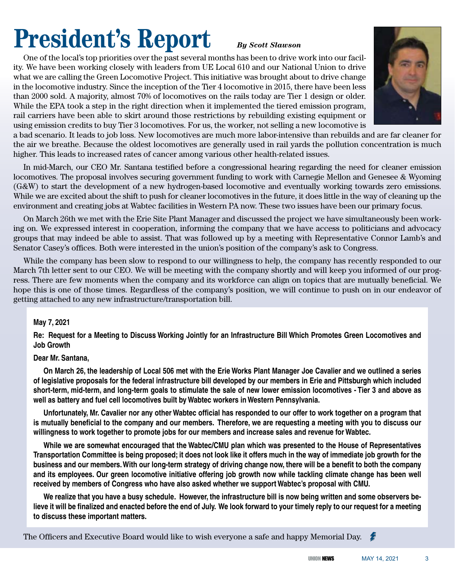### **President's Report** *By Scott Slawson*

One of the local's top priorities over the past several months has been to drive work into our facility. We have been working closely with leaders from UE Local 610 and our National Union to drive what we are calling the Green Locomotive Project. This initiative was brought about to drive change in the locomotive industry. Since the inception of the Tier 4 locomotive in 2015, there have been less than 2000 sold. A majority, almost 70% of locomotives on the rails today are Tier 1 design or older. While the EPA took a step in the right direction when it implemented the tiered emission program, rail carriers have been able to skirt around those restrictions by rebuilding existing equipment or using emission credits to buy Tier 3 locomotives. For us, the worker, not selling a new locomotive is



a bad scenario. It leads to job loss. New locomotives are much more labor-intensive than rebuilds and are far cleaner for the air we breathe. Because the oldest locomotives are generally used in rail yards the pollution concentration is much higher. This leads to increased rates of cancer among various other health-related issues.

In mid-March, our CEO Mr. Santana testified before a congressional hearing regarding the need for cleaner emission locomotives. The proposal involves securing government funding to work with Carnegie Mellon and Genesee & Wyoming (G&W) to start the development of a new hydrogen-based locomotive and eventually working towards zero emissions. While we are excited about the shift to push for cleaner locomotives in the future, it does little in the way of cleaning up the environment and creating jobs at Wabtec facilities in Western PA now. These two issues have been our primary focus.

On March 26th we met with the Erie Site Plant Manager and discussed the project we have simultaneously been working on. We expressed interest in cooperation, informing the company that we have access to politicians and advocacy groups that may indeed be able to assist. That was followed up by a meeting with Representative Connor Lamb's and Senator Casey's offices. Both were interested in the union's position of the company's ask to Congress.

While the company has been slow to respond to our willingness to help, the company has recently responded to our March 7th letter sent to our CEO. We will be meeting with the company shortly and will keep you informed of our progress. There are few moments when the company and its workforce can align on topics that are mutually beneficial. We hope this is one of those times. Regardless of the company's position, we will continue to push on in our endeavor of getting attached to any new infrastructure/transportation bill.

### **May 7, 2021**

**Re: Request for a Meeting to Discuss Working Jointly for an Infrastructure Bill Which Promotes Green Locomotives and Job Growth** 

### **Dear Mr. Santana,**

**On March 26, the leadership of Local 506 met with the Erie Works Plant Manager Joe Cavalier and we outlined a series of legislative proposals for the federal infrastructure bill developed by our members in Erie and Pittsburgh which included short-term, mid-term, and long-term goals to stimulate the sale of new lower emission locomotives - Tier 3 and above as well as battery and fuel cell locomotives built by Wabtec workers in Western Pennsylvania.**

**Unfortunately, Mr. Cavalier nor any other Wabtec official has responded to our offer to work together on a program that is mutually beneficial to the company and our members. Therefore, we are requesting a meeting with you to discuss our willingness to work together to promote jobs for our members and increase sales and revenue for Wabtec.**

**While we are somewhat encouraged that the Wabtec/CMU plan which was presented to the House of Representatives Transportation Committee is being proposed; it does not look like it offers much in the way of immediate job growth for the business and our members. With our long-term strategy of driving change now, there will be a benefit to both the company and its employees. Our green locomotive initiative offering job growth now while tackling climate change has been well received by members of Congress who have also asked whether we support Wabtec's proposal with CMU.**

**We realize that you have a busy schedule. However, the infrastructure bill is now being written and some observers believe it will be finalized and enacted before the end of July. We look forward to your timely reply to our request for a meeting to discuss these important matters.** 

The Officers and Executive Board would like to wish everyone a safe and happy Memorial Day.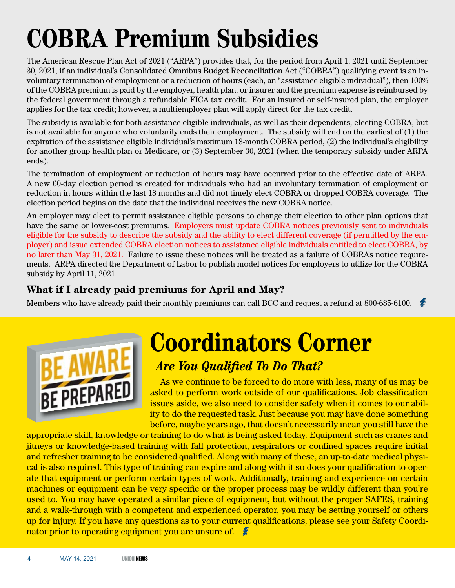## **COBRA Premium Subsidies**

The American Rescue Plan Act of 2021 ("ARPA") provides that, for the period from April 1, 2021 until September 30, 2021, if an individual's Consolidated Omnibus Budget Reconciliation Act ("COBRA") qualifying event is an involuntary termination of employment or a reduction of hours (each, an "assistance eligible individual"), then 100% of the COBRA premium is paid by the employer, health plan, or insurer and the premium expense is reimbursed by the federal government through a refundable FICA tax credit. For an insured or self-insured plan, the employer applies for the tax credit; however, a multiemployer plan will apply direct for the tax credit.

The subsidy is available for both assistance eligible individuals, as well as their dependents, electing COBRA, but is not available for anyone who voluntarily ends their employment. The subsidy will end on the earliest of (1) the expiration of the assistance eligible individual's maximum 18-month COBRA period, (2) the individual's eligibility for another group health plan or Medicare, or (3) September 30, 2021 (when the temporary subsidy under ARPA ends).

The termination of employment or reduction of hours may have occurred prior to the effective date of ARPA. A new 60-day election period is created for individuals who had an involuntary termination of employment or reduction in hours within the last 18 months and did not timely elect COBRA or dropped COBRA coverage. The election period begins on the date that the individual receives the new COBRA notice.

An employer may elect to permit assistance eligible persons to change their election to other plan options that have the same or lower-cost premiums. Employers must update COBRA notices previously sent to individuals eligible for the subsidy to describe the subsidy and the ability to elect different coverage (if permitted by the employer) and issue extended COBRA election notices to assistance eligible individuals entitled to elect COBRA, by no later than May 31, 2021. Failure to issue these notices will be treated as a failure of COBRA's notice requirements. ARPA directed the Department of Labor to publish model notices for employers to utilize for the COBRA subsidy by April 11, 2021.

### **What if I already paid premiums for April and May?**

Members who have already paid their monthly premiums can call BCC and request a refund at 800-685-6100.



### **Coordinators Corner** *Are You Qualified To Do That?*

As we continue to be forced to do more with less, many of us may be asked to perform work outside of our qualifications. Job classification issues aside, we also need to consider safety when it comes to our ability to do the requested task. Just because you may have done something before, maybe years ago, that doesn't necessarily mean you still have the

appropriate skill, knowledge or training to do what is being asked today. Equipment such as cranes and jitneys or knowledge-based training with fall protection, respirators or confined spaces require initial and refresher training to be considered qualified. Along with many of these, an up-to-date medical physical is also required. This type of training can expire and along with it so does your qualification to operate that equipment or perform certain types of work. Additionally, training and experience on certain machines or equipment can be very specific or the proper process may be wildly different than you're used to. You may have operated a similar piece of equipment, but without the proper SAFES, training and a walk-through with a competent and experienced operator, you may be setting yourself or others up for injury. If you have any questions as to your current qualifications, please see your Safety Coordinator prior to operating equipment you are unsure of.  $\bullet$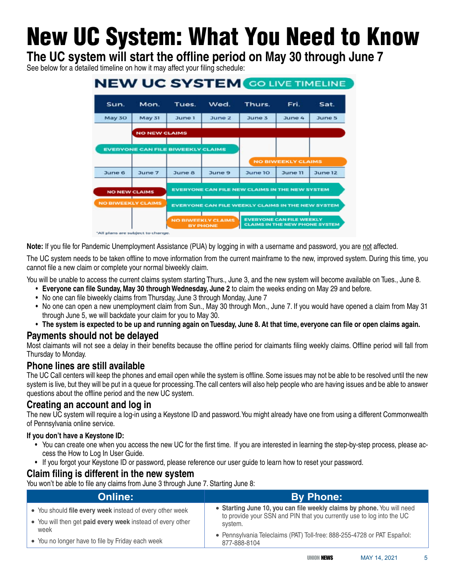## New UC System: What You Need to Know

**The UC system will start the offline period on May 30 through June 7**

See below for a detailed timeline on how it may affect your filing schedule:

| Sun.                 | Mon.                      | Tues.                                                 | Wed.   | Thurs.                                            | Fri.    | Sat.    |  |  |
|----------------------|---------------------------|-------------------------------------------------------|--------|---------------------------------------------------|---------|---------|--|--|
| May 30               | May 31                    | June 1                                                | June 2 | June 3                                            | June 4  | June 5  |  |  |
|                      | <b>NO NEW CLAIMS</b>      |                                                       |        |                                                   |         |         |  |  |
|                      |                           | <b>EVERYONE CAN FILE BIWEEKLY CLAIMS</b>              |        |                                                   |         |         |  |  |
|                      |                           |                                                       |        | <b>NO BIWEEKLY CLAIMS</b>                         |         |         |  |  |
| June 6               | June 7                    | June 8                                                | June 9 | June 10                                           | June 11 | June 12 |  |  |
| <b>NO NEW CLAIMS</b> |                           | <b>EVERYONE CAN FILE NEW CLAIMS IN THE NEW SYSTEM</b> |        |                                                   |         |         |  |  |
|                      | <b>NO BIWEEKLY CLAIMS</b> |                                                       |        | EVERYONE CAN FILE WEEKLY CLAIMS IN THE NEW SYSTEM |         |         |  |  |

**Note:** If you file for Pandemic Unemployment Assistance (PUA) by logging in with a username and password, you are not affected.

The UC system needs to be taken offline to move information from the current mainframe to the new, improved system. During this time, you cannot file a new claim or complete your normal biweekly claim.

You will be unable to access the current claims system starting Thurs., June 3, and the new system will become available on Tues., June 8.

- • **Everyone can file Sunday, May 30 through Wednesday, June 2** to claim the weeks ending on May 29 and before.
- No one can file biweekly claims from Thursday, June 3 through Monday, June 7
- No one can open a new unemployment claim from Sun., May 30 through Mon., June 7. If you would have opened a claim from May 31 through June 5, we will backdate your claim for you to May 30.
- • **The system is expected to be up and running again on Tuesday, June 8. At that time, everyone can file or open claims again.**

### **Payments should not be delayed**

Most claimants will not see a delay in their benefits because the offline period for claimants filing weekly claims. Offline period will fall from Thursday to Monday.

### **Phone lines are still available**

The UC Call centers will keep the phones and email open while the system is offline. Some issues may not be able to be resolved until the new system is live, but they will be put in a queue for processing. The call centers will also help people who are having issues and be able to answer questions about the offline period and the new UC system.

### **Creating an account and log in**

The new UC system will require a log-in using a Keystone ID and password. You might already have one from using a different Commonwealth of Pennsylvania online service.

### **If you don't have a Keystone ID:**

- You can create one when you access the new UC for the first time. If you are interested in learning the step-by-step process, please access the How to Log In User Guide.
- • If you forgot your Keystone ID or password, please reference our user guide to learn how to reset your password.

### **Claim filing is different in the new system**

You won't be able to file any claims from June 3 through June 7. Starting June 8:

| <b>Online:</b>                                                     | <b>By Phone:</b>                                                                                                                                |
|--------------------------------------------------------------------|-------------------------------------------------------------------------------------------------------------------------------------------------|
| • You should file every week instead of every other week           | • Starting June 10, you can file weekly claims by phone. You will need<br>to provide your SSN and PIN that you currently use to log into the UC |
| • You will then get paid every week instead of every other<br>week | system.                                                                                                                                         |
| • You no longer have to file by Friday each week                   | · Pennsylvania Teleclaims (PAT) Toll-free: 888-255-4728 or PAT Español:<br>877-888-8104                                                         |
|                                                                    |                                                                                                                                                 |